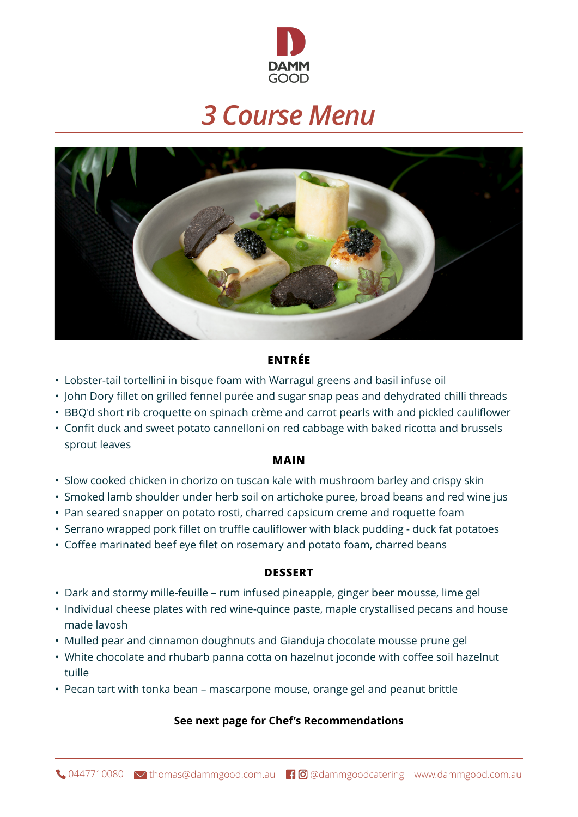

# *3 Course Menu*



## **ENTRÉE**

- Lobster-tail tortellini in bisque foam with Warragul greens and basil infuse oil
- John Dory fillet on grilled fennel purée and sugar snap peas and dehydrated chilli threads
- BBQ'd short rib croquette on spinach crème and carrot pearls with and pickled cauliflower
- Confit duck and sweet potato cannelloni on red cabbage with baked ricotta and brussels sprout leaves

#### **MAIN**

- Slow cooked chicken in chorizo on tuscan kale with mushroom barley and crispy skin
- Smoked lamb shoulder under herb soil on artichoke puree, broad beans and red wine jus
- Pan seared snapper on potato rosti, charred capsicum creme and roquette foam
- Serrano wrapped pork fillet on truffle cauliflower with black pudding duck fat potatoes
- Coffee marinated beef eye filet on rosemary and potato foam, charred beans

#### **DESSERT**

- Dark and stormy mille-feuille rum infused pineapple, ginger beer mousse, lime gel
- Individual cheese plates with red wine-quince paste, maple crystallised pecans and house made lavosh
- Mulled pear and cinnamon doughnuts and Gianduja chocolate mousse prune gel
- White chocolate and rhubarb panna cotta on hazelnut joconde with coffee soil hazelnut tuille
- Pecan tart with tonka bean mascarpone mouse, orange gel and peanut brittle

#### **See next page for Chef's Recommendations**